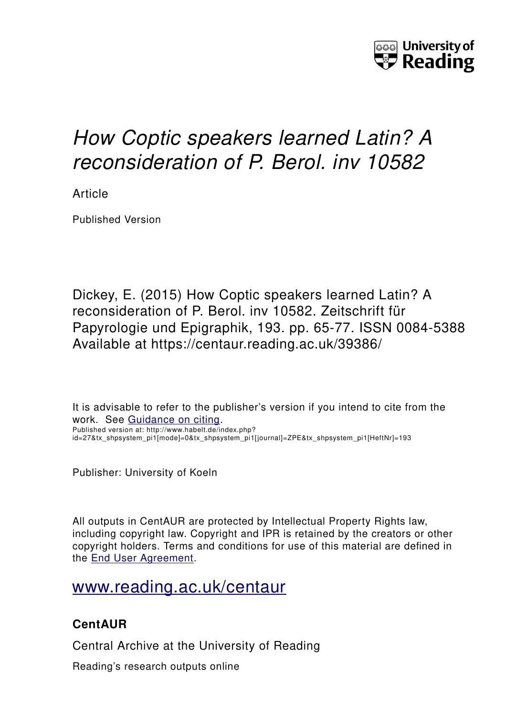

# *How Coptic speakers learned Latin? A reconsideration of P. Berol. inv 10582*

Article

Published Version

Dickey, E. (2015) How Coptic speakers learned Latin? A reconsideration of P. Berol. inv 10582. Zeitschrift für Papyrologie und Epigraphik, 193. pp. 65-77. ISSN 0084-5388 Available at https://centaur.reading.ac.uk/39386/

It is advisable to refer to the publisher's version if you intend to cite from the work. See [Guidance on citing.](http://centaur.reading.ac.uk/71187/10/CentAUR%20citing%20guide.pdf) Published version at: http://www.habelt.de/index.php? id=27&tx\_shpsystem\_pi1[mode]=0&tx\_shpsystem\_pi1[journal]=ZPE&tx\_shpsystem\_pi1[HeftNr]=193

Publisher: University of Koeln

All outputs in CentAUR are protected by Intellectual Property Rights law, including copyright law. Copyright and IPR is retained by the creators or other copyright holders. Terms and conditions for use of this material are defined in the [End User Agreement.](http://centaur.reading.ac.uk/licence)

## [www.reading.ac.uk/centaur](http://www.reading.ac.uk/centaur)

### **CentAUR**

Central Archive at the University of Reading

Reading's research outputs online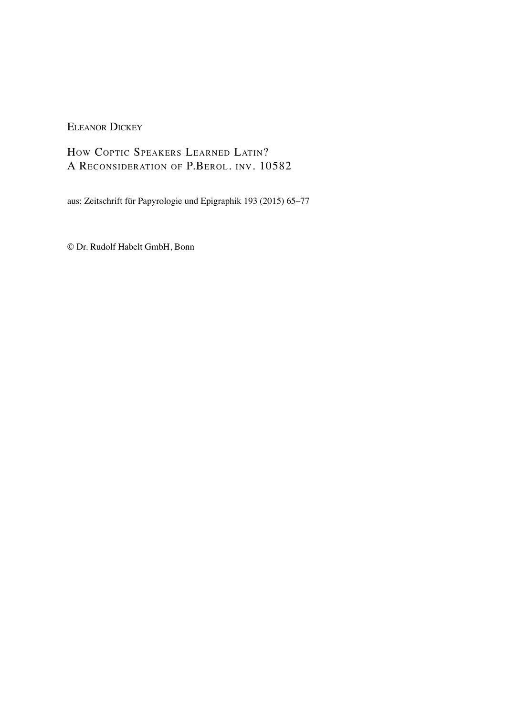ELEANOR DICKEY

HOW COPTIC SPEAKERS LEARNED LATIN? A RECONSIDERATION OF P.BEROL. INV. 10582

aus: Zeitschrift für Papyrologie und Epigraphik 193 (2015) 65–77

© Dr. Rudolf Habelt GmbH, Bonn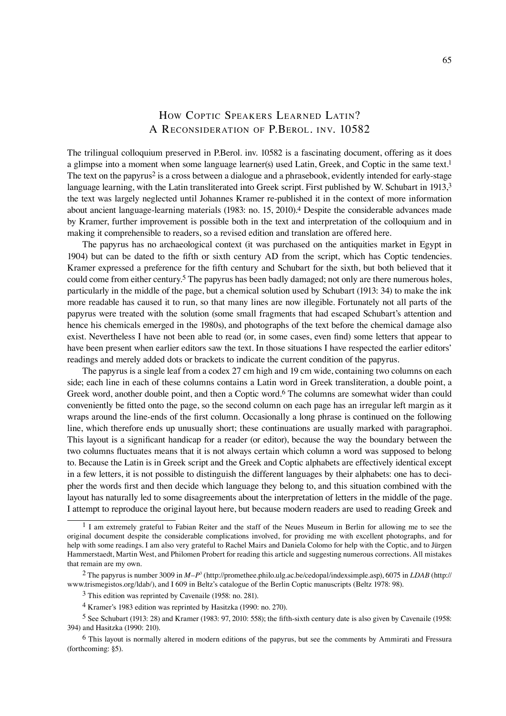#### HOW COPTIC SPEAKERS LEARNED LATIN? A RECONSIDERATION OF P.BEROL. INV. 10582

The trilingual colloquium preserved in P.Berol. inv. 10582 is a fascinating document, offering as it does a glimpse into a moment when some language learner(s) used Latin, Greek, and Coptic in the same text.<sup>1</sup> The text on the papyrus<sup>2</sup> is a cross between a dialogue and a phrasebook, evidently intended for early-stage language learning, with the Latin transliterated into Greek script. First published by W. Schubart in 1913,<sup>3</sup> the text was largely neglected until Johannes Kramer re-published it in the context of more information about ancient language-learning materials (1983: no. 15, 2010).4 Despite the considerable advances made by Kramer, further improvement is possible both in the text and interpretation of the colloquium and in making it comprehensible to readers, so a revised edition and translation are offered here.

The papyrus has no archaeological context (it was purchased on the antiquities market in Egypt in 1904) but can be dated to the fifth or sixth century AD from the script, which has Coptic tendencies. Kramer expressed a preference for the fifth century and Schubart for the sixth, but both believed that it could come from either century.<sup>5</sup> The papyrus has been badly damaged; not only are there numerous holes, particularly in the middle of the page, but a chemical solution used by Schubart (1913: 34) to make the ink more readable has caused it to run, so that many lines are now illegible. Fortunately not all parts of the papyrus were treated with the solution (some small fragments that had escaped Schubart's attention and hence his chemicals emerged in the 1980s), and photographs of the text before the chemical damage also exist. Nevertheless I have not been able to read (or, in some cases, even find) some letters that appear to have been present when earlier editors saw the text. In those situations I have respected the earlier editors' readings and merely added dots or brackets to indicate the current condition of the papyrus.

The papyrus is a single leaf from a codex 27 cm high and 19 cm wide, containing two columns on each side; each line in each of these columns contains a Latin word in Greek transliteration, a double point, a Greek word, another double point, and then a Coptic word.<sup>6</sup> The columns are somewhat wider than could conveniently be fitted onto the page, so the second column on each page has an irregular left margin as it wraps around the line-ends of the first column. Occasionally a long phrase is continued on the following line, which therefore ends up unusually short; these continuations are usually marked with paragraphoi. This layout is a significant handicap for a reader (or editor), because the way the boundary between the two columns fluctuates means that it is not always certain which column a word was supposed to belong to. Because the Latin is in Greek script and the Greek and Coptic alphabets are effectively identical except in a few letters, it is not possible to distinguish the different languages by their alphabets: one has to decipher the words first and then decide which language they belong to, and this situation combined with the layout has naturally led to some disagreements about the interpretation of letters in the middle of the page. I attempt to reproduce the original layout here, but because modern readers are used to reading Greek and

<sup>&</sup>lt;sup>1</sup> I am extremely grateful to Fabian Reiter and the staff of the Neues Museum in Berlin for allowing me to see the original document despite the considerable complications involved, for providing me with excellent photographs, and for help with some readings. I am also very grateful to Rachel Mairs and Daniela Colomo for help with the Coptic, and to Jürgen Hammerstaedt, Martin West, and Philomen Probert for reading this article and suggesting numerous corrections. All mistakes that remain are my own.

<sup>2</sup> The papyrus is number 3009 in *M–P*<sup>3</sup> (http://promethee.philo.ulg.ac.be/cedopal/indexsimple.asp), 6075 in *LDAB* (http:// www.trismegistos.org/ldab/), and I 609 in Beltz's catalogue of the Berlin Coptic manuscripts (Beltz 1978: 98).

<sup>3</sup> This edition was reprinted by Cavenaile (1958: no. 281).

<sup>4</sup> Kramer's 1983 edition was reprinted by Hasitzka (1990: no. 270).

<sup>&</sup>lt;sup>5</sup> See Schubart (1913: 28) and Kramer (1983: 97, 2010: 558); the fifth-sixth century date is also given by Cavenaile (1958: 394) and Hasitzka (1990: 210).

<sup>6</sup> This layout is normally altered in modern editions of the papyrus, but see the comments by Ammirati and Fressura (forthcoming: §5).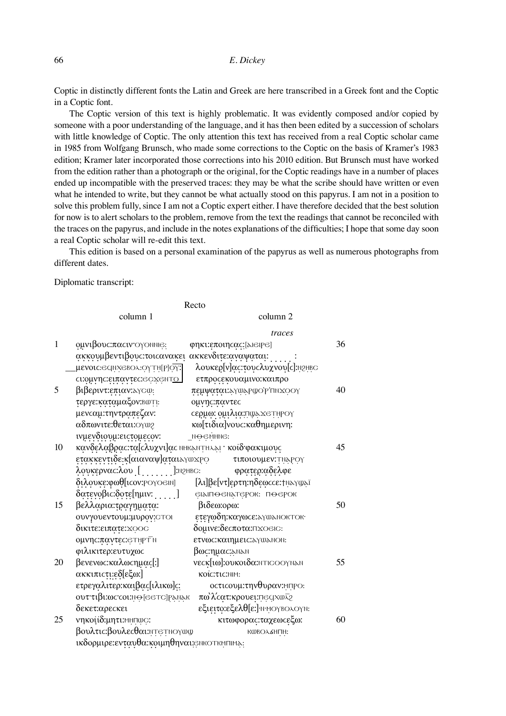Coptic in distinctly different fonts the Latin and Greek are here transcribed in a Greek font and the Coptic in a Coptic font.

The Coptic version of this text is highly problematic. It was evidently composed and/or copied by someone with a poor understanding of the language, and it has then been edited by a succession of scholars with little knowledge of Coptic. The only attention this text has received from a real Coptic scholar came in 1985 from Wolfgang Brunsch, who made some corrections to the Coptic on the basis of Kramer's 1983 edition; Kramer later incorporated those corrections into his 2010 edition. But Brunsch must have worked from the edition rather than a photograph or the original, for the Coptic readings have in a number of places ended up incompatible with the preserved traces: they may be what the scribe should have written or even what he intended to write, but they cannot be what actually stood on this papyrus. I am not in a position to solve this problem fully, since I am not a Coptic expert either. I have therefore decided that the best solution for now is to alert scholars to the problem, remove from the text the readings that cannot be reconciled with the traces on the papyrus, and include in the notes explanations of the difficulties; I hope that some day soon a real Coptic scholar will re-edit this text.

This edition is based on a personal examination of the papyrus as well as numerous photographs from different dates.

Diplomatic transcript:

| Recto                                         |                                                       |                                                      |    |  |  |
|-----------------------------------------------|-------------------------------------------------------|------------------------------------------------------|----|--|--|
|                                               | column 1                                              | column 2                                             |    |  |  |
|                                               |                                                       | traces                                               |    |  |  |
| $\mathbf{1}$                                  | ομνιβους:παςιν·ογοΝΝΙΘ:                               | φηκι:εποιηςας: [λιθιΡθ]                              | 36 |  |  |
|                                               | ακκουμβεντιβους: τοι ανακει ακκενδιτε: αναψαται:      |                                                      |    |  |  |
|                                               | μενοις: εαιλχειολ: ογτιι[ρ] ογ.                       | λουκερ[v]ας:τουςλυχνου[c]: η 2ΗΒΟ                    |    |  |  |
|                                               | ci: ouvnc: ειπαντες: εσχεΝΤΟ                          | ετπροσεκουαμινο: καιπρο                              |    |  |  |
| 5                                             | βιβεριντ: επιαν: λγοφ.                                | πεμψαται: γύλρωο ρ'πηχοογ                            | 40 |  |  |
|                                               | τεργε: καταμαξον: Βωτι:                               | ομνης:παντες                                         |    |  |  |
|                                               | μενταμ: την τραπεζαν:                                 | cερμω: ομιλια: Πψεχετήρογ                            |    |  |  |
|                                               | αδπωνιτε:θεται: Ογως                                  | κω[τιδια]νους: καθημερινη:                           |    |  |  |
|                                               | ινμενδιουμ: εις τομεςον:                              | $Nθ$ $θ$ $θ$ $θ$ $θ$ $θ$ $θ$ $θ$ $θ$ $θ$ $θ$ $θ$ $θ$ |    |  |  |
| 10                                            | κανδελαβρας: τα [cλυχνι]ας ΝΗΚΑΝΤΗλΑΙ · κοιδ φακιμους |                                                      | 45 |  |  |
|                                               | ετακκεντιδε:κ[αιαναψ]αται <i>λγ</i> ωχρο              | τιποιουμεν: ΤΝΑΡΟΥ                                   |    |  |  |
|                                               | λουκερνας:λου [ ]: Ν2ΗΒC:                             | φρατερ:αδελφε                                        |    |  |  |
|                                               | διλουκε:φωθ[ι cov: POYOGIN]                           | [λι]βε[ντ]ερτη:ηδεωccε: τηλγψλϊ                      |    |  |  |
|                                               | δατενοβιο:δοτε[ημιν: ]                                | еідіпо емдтерок: по ерок                             |    |  |  |
| 15                                            | βελλαρια:τραγηματα:                                   | βιδεω:ορω:                                           | 50 |  |  |
|                                               | ουνγουεντουμ: μυρον: στοι                             | ετεγωδη: καγωσε: λγωλησκτοκ·                         |    |  |  |
|                                               | δικιτε: ειπατε: χοος                                  | δομινε:δεςποτα: ΠΧΟΘΙΟ:                              |    |  |  |
|                                               | <b>ομνης:παντες:</b> ετηρτη                           | ετνως: καιημεις: λγωληση:                            |    |  |  |
|                                               | φιλικιτερ: ευτυχως                                    | $\beta$ ως:ημας: ληλη                                |    |  |  |
| 20                                            | βενενως: καλως ημας[:]                                | veck[lo]: OUKOLOa: NTICOOYNAN                        | 55 |  |  |
|                                               | ακκιπιστι: εδ[εξω:]                                   | KOIC:TIC:NIM:                                        |    |  |  |
|                                               | ετρεγαλιτερ: καιβας[ιλικω]ς:                          | <b>οςτιςουμ:τηνθυραν:</b> ΜΠΡΟ:                      |    |  |  |
|                                               | <b>ουττιβι:ωccol:</b> Ne[GeTC]PANAK                   | πωλίτατ: κρουει: πε αχωλε                            |    |  |  |
|                                               | δεκετ: αρεςκει                                        | εξιειτο: εξελθ[ε:]· Ν· ΜΟΥΒΟΛΟΥΝ:                    |    |  |  |
| 25                                            | νηκοιίδ: μητι: ΜΗΠΦΟ:                                 | κιτωφορας: ταχεωςεξω:                                | 60 |  |  |
|                                               | βουλτις:βουλεςθαι:ητετηογωω                           | <b>KWBOA6HUH:</b>                                    |    |  |  |
| ικδορμιρε: ενταυθα: κοιμηθηναι: ελικοτκηπικε: |                                                       |                                                      |    |  |  |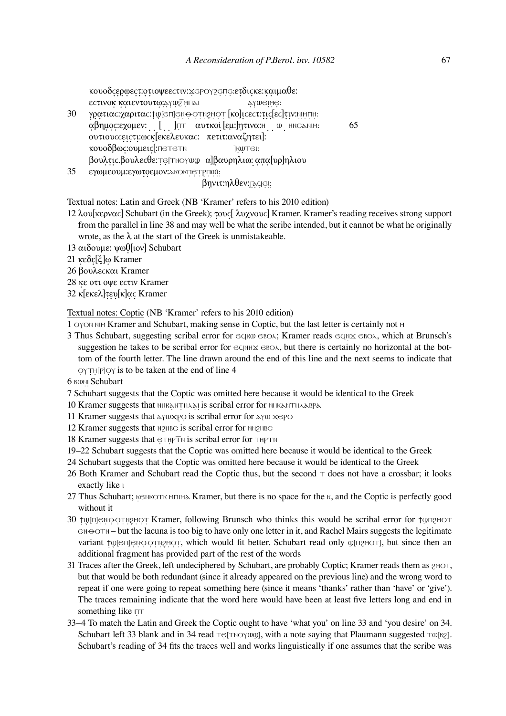κουοδεερωεετ: οτιοψεε ετιν: χερογρεπε: ετδιεκε: καιμαθε: εςτινοκ καιεντουτω: λγως ΜΠΑΙ - λγως ΜΘΗ.

- 30 γρατιας: χαριτας: †ψ[ͼπ] ειιωστιγκοτ [κο]ις εςτ: τις [ες] τιν: ΝΙΚΠΗ: αβημος εχομεν: [ ]πτ αυτκοί [εμ:]ητινα: Η ω ΗΝΟΔΝΙΜ: 65 ουτιουϲϲειϲτι :ωϲκ [εκελευκαϲ: πετιτ:αναζητει]: κουοδβως: ουμεις [:Πετετη κωτει: βουλτιϲ.βουλεϲθε:ⲧⲉ [ⲧⲛⲟⲩⲱϣ α]βαυρηλιω: α̣ πα [υρ]ηλιου
- 35 εγωμεουμ: εγωτοεμον: λκοκπετρηωϊ:

#### βηνιτ:ηλθεν:<sub>[λ</sub>οθι:

Textual notes: Latin and Greek (NB 'Kramer' refers to his 2010 edition)

- 12 λου[κερναϲ] Schubart (in the Greek); τουϲ [ λυχνουϲ] Kramer. Kramer's reading receives strong support from the parallel in line 38 and may well be what the scribe intended, but it cannot be what he originally wrote, as the  $\lambda$  at the start of the Greek is unmistakeable.
- 13 αιδουμε: ψωθ [ιον] Schubart
- 21 κεδε [ξ]ω Kramer
- 26 βουλεϲκαι Kramer
- 28 κε οτι οψε εϲτιν Kramer
- 32 κ[εκελ]τευ[κ]ας Kramer

Textual notes: Coptic (NB 'Kramer' refers to his 2010 edition)

- 1 OYON NIM Kramer and Schubart, making sense in Coptic, but the last letter is certainly not M
- 3 Thus Schubart, suggesting scribal error for ∈ $q$ κω ∈ΒΟΛ; Kramer reads ∈ $q$ Να ∈ΒΟΛ, which at Brunsch's suggestion he takes to be scribal error for  $\epsilon$  q<sub>NHX</sub>  $\epsilon$  BO $\lambda$ , but there is certainly no horizontal at the bottom of the fourth letter. The line drawn around the end of this line and the next seems to indicate that ⲟⲩⲧⲏ [ⲣ]ⲟⲩ is to be taken at the end of line 4

6 BONI Schubart

- 7 Schubart suggests that the Coptic was omitted here because it would be identical to the Greek
- 10 Kramer suggests that ΝΗΚΑΝΤΗΛΑΙ is scribal error for ΝΗΚΑΝΤΗΛΑΒΡΑ
- 11 Kramer suggests that λγωχρο is scribal error for λγω χερο
- 12 Kramer suggests that **N2HBC** is scribal error for NN2HBC
- 18 Kramer suggests that  $\epsilon$ THPTN is scribal error for THPTN
- 19–22 Schubart suggests that the Coptic was omitted here because it would be identical to the Greek
- 24 Schubart suggests that the Coptic was omitted here because it would be identical to the Greek
- 26 Both Kramer and Schubart read the Coptic thus, but the second  $\tau$  does not have a crossbar; it looks exactly like  $\iota$
- 27 Thus Schubart;  $K \in \mathbb{R}^N$  Kramer, but there is no space for the  $K$ , and the Coptic is perfectly good without it
- 30 ϯϣ[⊓]℮ℕ℮ΟΤΝϨϺΟΤ Kramer, following Brunsch who thinks this would be scribal error for ϯϣπϩϺΟΤ ⲉⲛⲑⲟⲧⲛ – but the lacuna is too big to have only one letter in it, and Rachel Mairs suggests the legitimate variant †ψ[e⊓] εΝΘΟΤΝ εναινάστ, which would fit better. Schubart read only ψ[n εναινάστ], but since then an additional fragment has provided part of the rest of the words
- 31 Traces after the Greek, left undeciphered by Schubart, are probably Coptic; Kramer reads them as *ρ*ΜΟΤ, but that would be both redundant (since it already appeared on the previous line) and the wrong word to repeat if one were going to repeat something here (since it means 'thanks' rather than 'have' or 'give'). The traces remaining indicate that the word here would have been at least five letters long and end in something like  $\Pi$
- 33–4 To match the Latin and Greek the Coptic ought to have 'what you' on line 33 and 'you desire' on 34. Schubart left 33 blank and in 34 read τ $\epsilon$ [τιογωψ], with a note saying that Plaumann suggested τω[ες]. Schubart's reading of 34 fits the traces well and works linguistically if one assumes that the scribe was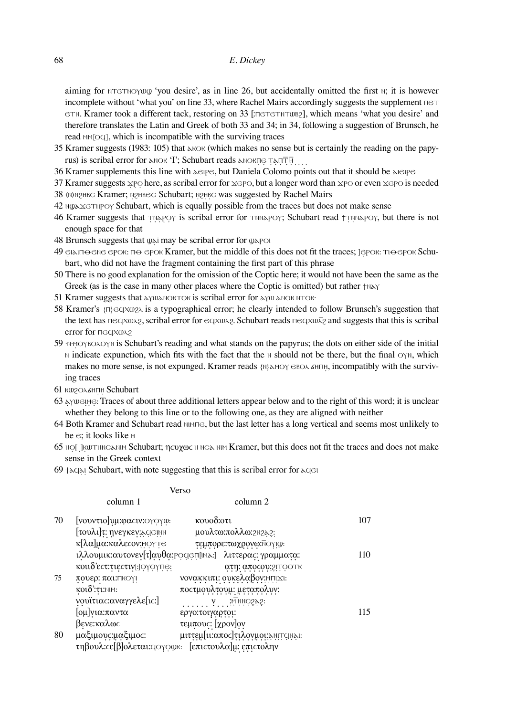aiming for  $N^T$   $\gamma$  ou desire', as in line 26, but accidentally omitted the first  $\gamma$ ; it is however incomplete without 'what you' on line 33, where Rachel Mairs accordingly suggests the supplement  $\Box \Box$ **ETN.** Kramer took a different tack, restoring on 33 [: ΠΕΤΕΤΝΤΟΒΡΩ], which means 'what you desire' and therefore translates the Latin and Greek of both 33 and 34; in 34, following a suggestion of Brunsch, he read MM<sub>[OQ]</sub>, which is incompatible with the surviving traces

- 35 Kramer suggests (1983: 105) that λειδικ (which makes no sense but is certainly the reading on the papyrus) is scribal error for *λΝΟΚ* 'I'; Schubart reads *λΝΟΚΠΘ Τ*ΑΠΤΗ
- 36 Kramer supplements this line with λειρε, but Daniela Colomo points out that it should be λιειρε
- 37 Kramer suggests  $x \text{p}$  here, as scribal error for  $x \in P$ . but a longer word than  $x \text{p}$  or even  $x \in P$  is needed
- 38 (N)N2HBC Kramer; N2HBEC Schubart; N2HBC was suggested by Rachel Mairs
- 42 ⲛϣⲁϫⲉⲧⲏⲣⲟⲩ Schubart, which is equally possible from the traces but does not make sense
- 46 Kramer suggests that ⲧⲛⲁⲣⲟⲩ is scribal error for ⲧⲛⲛⲁⲣⲟⲩ; Schubart read ϯⲧⲛⲛⲁⲣⲟⲩ, but there is not enough space for that
- 48 Brunsch suggests that  $\omega$ ε may be scribal error for  $\omega$ εροι
- 49  $\epsilon$  ειλιπ $\epsilon$ θε εροκ: π $\epsilon$  εροκ Kramer, but the middle of this does not fit the traces; ]ерок: Τι $\epsilon$ ерок Schubart, who did not have the fragment containing the first part of this phrase
- 50 There is no good explanation for the omission of the Coptic here; it would not have been the same as the Greek (as is the case in many other places where the Coptic is omitted) but rather †N
- 51 Kramer suggests that <u>λΥΦΑΝΟΚΤΟΚ</u> is scribal error for *λΥΦ* λΝΟΚ ΝΤΟΚ·
- 58 Kramer's {ⲡ}ⲉϥⲭⲱϩⲗ is a typographical error; he clearly intended to follow Brunsch's suggestion that the text has πeqχω $\alpha$ , scribal error for eqχω $\alpha$ , Schubart reads πeqχω $\bar{\alpha}$  and suggests that this is scribal error for <del>Πε</del>σκωλ<sub>2</sub>
- 59 ·ⲛ·ⲙⲟⲩⲃⲟⲗⲟⲩⲛ is Schubart's reading and what stands on the papyrus; the dots on either side of the initial **N** indicate expunction, which fits with the fact that the N should not be there, but the final  $OγN$ , which makes no more sense, is not expunged. Kramer reads {N}λΜΟΥ ΘΒΟΛ ΔΗΠΗ, incompatibly with the surviving traces
- 61 KW<sub>2</sub>O SHITH Schubart
- 63 ⲁⲩⲱⲉⲓⲙⲉ : Traces of about three additional letters appear below and to the right of this word; it is unclear whether they belong to this line or to the following one, as they are aligned with neither
- **64 Both Kramer and Schubart read NIMTIE, but the last letter has a long vertical and seems most unlikely to** be ⲉ; it looks like ⲏ
- 65 HO[ ] KWTHNCSNIH Schubart; ηςυχως Η ΝCS ΝΙΗ Kramer, but this does not fit the traces and does not make sense in the Greek context
- 69 ϯⲁϥⲁⲓ Schubart, with note suggesting that this is scribal error for ⲁϥⲉⲓ

Verso

|    | column 1                                                                 | column 2                                                  |     |
|----|--------------------------------------------------------------------------|-----------------------------------------------------------|-----|
| 70 | [νουντιο]υμ: φαςιν: ΟΥΟΥΦ:                                               | κουοδ: οτι                                                | 107 |
|    | [τουλι]τ: ηνεγκεν: ειθμη                                                 | μουλτω:πολλω: 2022.                                       |     |
|    | κ[λα]μα:καλεςον:ΜΟΥΤΘ                                                    | τεμπορε: τωχρονω: Νογιω:                                  |     |
|    |                                                                          | ιλλουμικ: αυτονεν[τ]αυθα: Ροαεπ[ιΜλ.] λιττερας: γραμματα: | 110 |
|    | κοιιδ'ες τιες τιν [: ]ΟΥΟΥΠΕ:                                            | ατη: αποςου: 21ΤΟΟΤΚ                                      |     |
| 75 | πουερ: παι: Πκογι                                                        | νονακκιπι: ουκελαβον: ΜΠΙΣΙ:                              |     |
|    | $K$ <sup>2</sup> $\delta$ : $\tau$ $\iota$ : $\mathbb{N}$ $\mathbb{M}$ : | ποςτμουλτουμ: μεταπολυν:                                  |     |
|    | νουϊτιας: αναγγελε[ις:]                                                  | $\ldots$ , $\ldots$ , $\ldots$ , $\ldots$                 |     |
|    | [ομ]νια:παντα                                                            | εργο: τοιγαρτοι:                                          | 115 |
|    | βενε:καλως                                                               | τεμπους: [χρον]ον                                         |     |
| 80 | μαξιμους:μαξιμος:                                                        | μιττεμ[ιι: απος] τιλογμοι: εμπτιμει:                      |     |
|    |                                                                          | τηβουλ: cε[β]ολεται: (10γουκ: [επιστουλα]μ: επιστολην     |     |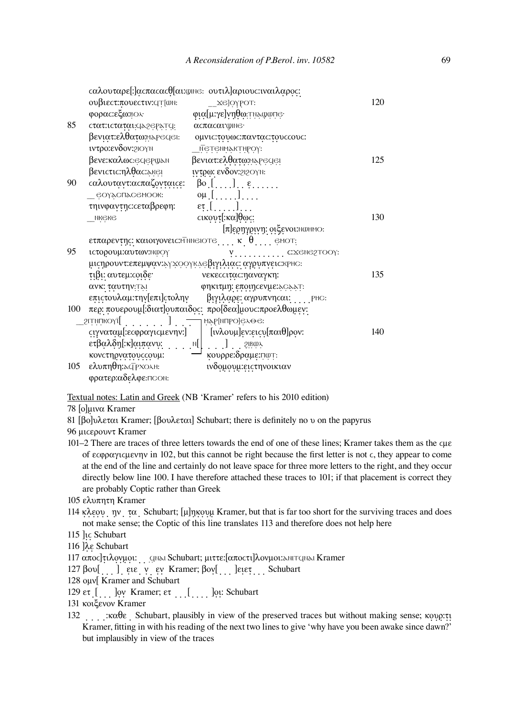|     |                                                                                                                                                                                              | cαλουταρε[:]αcπαcαcθ[αι:wme: oυτιλ]αριουc:ιναιλαρος:                    |     |
|-----|----------------------------------------------------------------------------------------------------------------------------------------------------------------------------------------------|-------------------------------------------------------------------------|-----|
|     | ουβιες τ.πουες τιν: (Τ[ωΝ:                                                                                                                                                                   | $Z$ $E$ ] $O$ $Y$ $P$ $O$ T:                                            | 120 |
|     | φορας: εξω: ΒΟλ                                                                                                                                                                              | φια[μ:γε]νηθω:τηλψωπe·                                                  |     |
| 85  | cτατ: ιcταται: (129ePar(1                                                                                                                                                                    | αςπαςαι ψιης·                                                           |     |
|     | βενιατ:ελθατω: μερεςιει:                                                                                                                                                                     | ομνις: του ως: παντας: του οκους:                                       |     |
|     | <b><i>ivtpo: ενδον: 2IOYN</i></b>                                                                                                                                                            | <u>— Ņ</u> ėlėmiÿklibo.l:                                               |     |
|     | βενε:καλως:θαθέρωλη                                                                                                                                                                          | βενιατ:ελθατω: ηλρες αει                                                | 125 |
|     | βενιςτις:ηλθας: εκει                                                                                                                                                                         | <b><i><u>ιντρω:</u></i></b> ενδον: 2120γη:                              |     |
| 90  | $\alpha\lambda$ ουταντ: ασπαζονταις ε: βο []. ε                                                                                                                                              |                                                                         |     |
|     | еоүаспасемоок:                                                                                                                                                                               | $\alpha\mu$ []                                                          |     |
|     | τηινφαντης: σεταβρεφη:                                                                                                                                                                       | $\mathfrak{e}_{\overline{1}}$ , $\left[\ldots,\ldots\right]$ , $\ldots$ |     |
|     | <b>NKGKG</b>                                                                                                                                                                                 | cικουτ[:κα]θως:                                                         | 130 |
|     |                                                                                                                                                                                              | $[\pi]$ ερηγρινη: οιξενοι: NWHMO:                                       |     |
|     |                                                                                                                                                                                              | ετπαρεντης: καιοιγονεις: ΜπηθΙΟΤ $\theta$ ,  κ. $\theta$ $\theta$ MOT:  |     |
| 95  | ιςτορουμ: αυτων: Νωογ                                                                                                                                                                        | $Y$ C: $X$ GNE2TOOY:                                                    |     |
|     |                                                                                                                                                                                              | μις ηρουντιεπεμψαν: εγχοργκαθιγιλιας: αγρυπνεις: κρης:                  |     |
|     | τιβι: αυτεμ: coιδε                                                                                                                                                                           | νεκεςςιτας:ηαναγκη:                                                     | 135 |
|     | ανκ: ταυτην: Τει                                                                                                                                                                             | φηκιτμη: εποιηςενμε:৯ς»»τ:                                              |     |
|     |                                                                                                                                                                                              | επιςτουλαμ: την [επι]ς τολην βιγιλαρε: αγρυπνης αι: PHC:                |     |
| 100 |                                                                                                                                                                                              | περ: πουερουμ[:διατ]ουπαιδος: προ[δεα]μους:προελθωμεν:                  |     |
|     | $\epsilon$ קאָמְאָ הַ $\epsilon$ , $\epsilon$ , $\epsilon$ , $\epsilon$ , $\epsilon$ , $\epsilon$ , $\epsilon$ , $\epsilon$ , $\epsilon$ , $\epsilon$ , $\epsilon$ , $\epsilon$ , $\epsilon$ |                                                                         |     |
|     |                                                                                                                                                                                              | cιγναταμ[: εσφραγισμενην:]   [ινλουμ] εν: εισυ[παιθ] ρον:               | 140 |
|     | ετβαλδη[:κ]αιπανυ:                                                                                                                                                                           | $\ldots$ ] $\ldots$ 2.1804                                              |     |
|     | κονετηργατουεεουμ:                                                                                                                                                                           | κουρρε:δραμε: πωτ:                                                      |     |
| 105 | <b>ελυπηθη:</b> ασρχολη:                                                                                                                                                                     | ινδομουμ:ειςτηνοικιαν                                                   |     |
|     | φρατερ:αδελφε:ΠΟΟΝ:                                                                                                                                                                          |                                                                         |     |

Textual notes: Latin and Greek (NB 'Kramer' refers to his 2010 edition)

78 [ο]μινα Kramer

81 [βο]υλεται Kramer; [βουλεται] Schubart; there is definitely no υ on the papyrus

96 μιϲερουντ Kramer

- 101–2 There are traces of three letters towards the end of one of these lines; Kramer takes them as the ϲμε of εϲφραγιϲμενην in 102, but this cannot be right because the fi rst letter is not ϲ, they appear to come at the end of the line and certainly do not leave space for three more letters to the right, and they occur directly below line 100. I have therefore attached these traces to 101; if that placement is correct they are probably Coptic rather than Greek
- 105 ελυπητη Kramer
- 114 κλεου ην τα Schubart; [μ]ηκουμ Kramer, but that is far too short for the surviving traces and does not make sense; the Coptic of this line translates 113 and therefore does not help here
- 115 ]ιϲ Schubart
- 116 ]λε Schubart
- 117 απος τιλογμοι: ... qινει Schubart; μιττε: [αποςτι]λονμοι: λινταινει Kramer
- 127 βου[ ] ειε ν εν Kramer; βον[ ] ]ειετ Schubart
- 128 ομν[ Kramer and Schubart
- $129$  ετ  $\left[ \right]$   $\left[ \right]$   $\left[ \right]$   $\left[ \right]$   $\left[ \right]$   $\left[ \right]$   $\left[ \right]$   $\left[ \right]$   $\left[ \right]$   $\left[ \right]$   $\left[ \right]$   $\left[ \right]$   $\left[ \right]$   $\left[ \right]$   $\left[ \right]$   $\left[ \right]$   $\left[ \right]$   $\left[ \right]$   $\left[ \right]$   $\left[ \right]$   $\left[ \right]$   $\left[ \right]$   $\left[ \right]$   $\left[$
- 131 κοιξενον Kramer
- 132 *...*  $\cdot$  *xαθε* Schubart, plausibly in view of the preserved traces but without making sense; κουρ:τι Kramer, fitting in with his reading of the next two lines to give 'why have you been awake since dawn?' but implausibly in view of the traces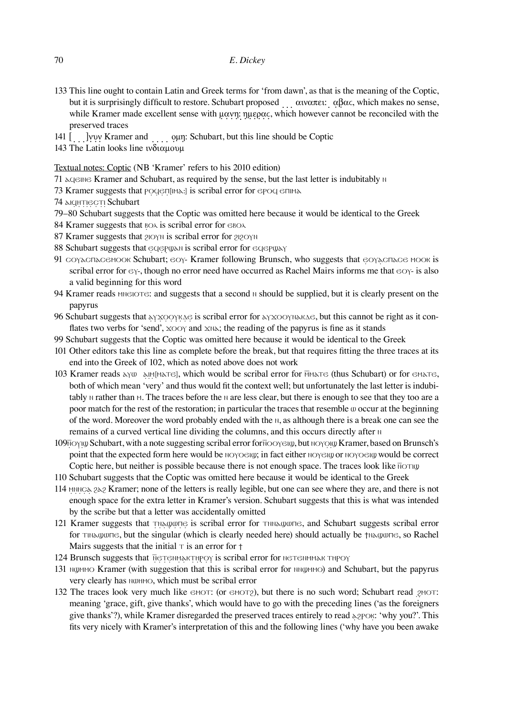- 133 This line ought to contain Latin and Greek terms for 'from dawn', as that is the meaning of the Coptic, but it is surprisingly difficult to restore. Schubart proposed αιναπει: αβας, which makes no sense, while Kramer made excellent sense with μανη: ημερας, which however cannot be reconciled with the preserved traces
- 141 [ ̣ ̣ ]̣ νυν Kramer and ̣ ̣ ̣ ̣ ομη: Schubart, but this line should be Coptic
- 143 The Latin looks line ινδιαμουμ

#### Textual notes: Coptic (NB 'Kramer' refers to his 2010 edition)

- 71 λαθείνες Kramer and Schubart, as required by the sense, but the last letter is indubitably *Ν*
- 73 Kramer suggests that ΡΟΔΕΠ[ΙΜΑ:] is scribal error for ΕΡΟΔ ΕΠΙΜΑ
- 74 *AICHTIECTI* Schubart
- 79–80 Schubart suggests that the Coptic was omitted here because it would be identical to the Greek
- 84 Kramer suggests that  $B\alpha\lambda$  is scribal error for  $\epsilon B\alpha\lambda$
- 87 Kramer suggests that ϩⲓⲟⲩⲛ is scribal error for ϩⲓϩⲟⲩⲛ
- 88 Schubart suggests that  $e$ α $e$ ΡωλΝ is scribal error for  $e$ α $e$ ΡωλΥ
- 91 COYΛΟΓΙΑΣΘΗΣΟΟΚ Schubart: ΘΟΥ- Kramer following Brunsch, who suggests that ΘΟΥΛΟΓΙΑΣΘΗΣΟΟΚ is scribal error for  $\epsilon \gamma$ -, though no error need have occurred as Rachel Mairs informs me that  $\epsilon \in \gamma$ - is also a valid beginning for this word
- 94 Kramer reads MINGUTE: and suggests that a second **N** should be supplied, but it is clearly present on the papyrus
- 96 Schubart suggests that λγχοργκαθ is scribal error for λγχοργη λικαθείς, but this cannot be right as it conflates two verbs for 'send',  $\chi$   $\sim$   $\chi$  and  $\chi$ N $\chi$ ; the reading of the papyrus is fine as it stands
- 99 Schubart suggests that the Coptic was omitted here because it would be identical to the Greek
- 101 Other editors take this line as complete before the break, but that requires fitting the three traces at its end into the Greek of 102, which as noted above does not work
- 103 Kramer reads λγω λιΜ[ΜΑΤΘ], which would be scribal error for MΜΑΤΘ (thus Schubart) or for ΘΜΑΤΘ, both of which mean 'very' and thus would fit the context well; but unfortunately the last letter is indubitably *N* rather than *M*. The traces before the *N* are less clear, but there is enough to see that they too are a poor match for the rest of the restoration; in particular the traces that resemble ⲱ occur at the beginning of the word. Moreover the word probably ended with the **N**, as although there is a break one can see the remains of a curved vertical line dividing the columns, and this occurs directly after **N**
- 109Ñ *O*YIW Schubart, with a note suggesting scribal error for Ñ *O O* ∴ but N O Y O W Kramer, based on Brunsch's point that the expected form here would be ΝΟΥΟΘΙΦ; in fact either ΝΟΥΘΙΦ or ΝΟΥΟΘΙΦ would be correct Coptic here, but neither is possible because there is not enough space. The traces look like  $\overline{N}$
- 110 Schubart suggests that the Coptic was omitted here because it would be identical to the Greek
- 114 MNNCλ 2λ2 Kramer; none of the letters is really legible, but one can see where they are, and there is not enough space for the extra letter in Kramer's version. Schubart suggests that this is what was intended by the scribe but that a letter was accidentally omitted
- 121 Kramer suggests that τηλαψωπe is scribal error for τημλαψωπe, and Schubart suggests scribal error for ⲧⲓⲛⲁϣⲱⲡⲉ, but the singular (which is clearly needed here) should actually be ϯⲛⲁϣⲱⲡⲉ, so Rachel Mairs suggests that the initial  $\tau$  is an error for  $\tau$
- 124 Brunsch suggests that NETENMARTHPOY is scribal error for NETENMMARTHPOY
- 131 ⲛϣⲙⲙⲟ Kramer (with suggestion that this is scribal error for ⲛⲛϣⲙⲙⲟ) and Schubart, but the papyrus very clearly has NOHMO, which must be scribal error
- 132 The traces look very much like  $\epsilon$ мот: (or  $\epsilon$ мот $\epsilon$ ), but there is no such word; Schubart read  $\epsilon$ мот: meaning 'grace, gift, give thanks', which would have to go with the preceding lines ('as the foreigners give thanks'?), while Kramer disregarded the preserved traces entirely to read ⲁϩⲣⲟⲕ: 'why you?'. This fits very nicely with Kramer's interpretation of this and the following lines ('why have you been awake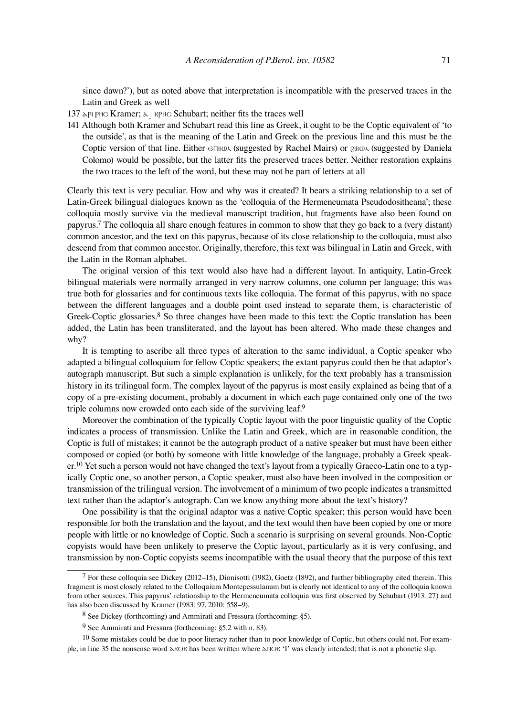since dawn?'), but as noted above that interpretation is incompatible with the preserved traces in the Latin and Greek as well

- 137 λPl PHC Kramer; λ RPHC Schubart; neither fits the traces well
- 141 Although both Kramer and Schubart read this line as Greek, it ought to be the Coptic equivalent of 'to the outside', as that is the meaning of the Latin and Greek on the previous line and this must be the Coptic version of that line. Either  $\epsilon$ ΠΒΦλ (suggested by Rachel Mairs) or 2ΙΒΦλ (suggested by Daniela Colomo) would be possible, but the latter fits the preserved traces better. Neither restoration explains the two traces to the left of the word, but these may not be part of letters at all

Clearly this text is very peculiar. How and why was it created? It bears a striking relationship to a set of Latin-Greek bilingual dialogues known as the 'colloquia of the Hermeneumata Pseudodositheana'; these colloquia mostly survive via the medieval manuscript tradition, but fragments have also been found on papyrus.7 The colloquia all share enough features in common to show that they go back to a (very distant) common ancestor, and the text on this papyrus, because of its close relationship to the colloquia, must also descend from that common ancestor. Originally, therefore, this text was bilingual in Latin and Greek, with the Latin in the Roman alphabet.

The original version of this text would also have had a different layout. In antiquity, Latin-Greek bilingual materials were normally arranged in very narrow columns, one column per language; this was true both for glossaries and for continuous texts like colloquia. The format of this papyrus, with no space between the different languages and a double point used instead to separate them, is characteristic of Greek-Coptic glossaries.<sup>8</sup> So three changes have been made to this text: the Coptic translation has been added, the Latin has been transliterated, and the layout has been altered. Who made these changes and why?

It is tempting to ascribe all three types of alteration to the same individual, a Coptic speaker who adapted a bilingual colloquium for fellow Coptic speakers; the extant papyrus could then be that adaptor's autograph manuscript. But such a simple explanation is unlikely, for the text probably has a transmission history in its trilingual form. The complex layout of the papyrus is most easily explained as being that of a copy of a pre-existing document, probably a document in which each page contained only one of the two triple columns now crowded onto each side of the surviving leaf.9

Moreover the combination of the typically Coptic layout with the poor linguistic quality of the Coptic indicates a process of transmission. Unlike the Latin and Greek, which are in reasonable condition, the Coptic is full of mistakes; it cannot be the autograph product of a native speaker but must have been either composed or copied (or both) by someone with little knowledge of the language, probably a Greek speaker.<sup>10</sup> Yet such a person would not have changed the text's layout from a typically Graeco-Latin one to a typically Coptic one, so another person, a Coptic speaker, must also have been involved in the composition or transmission of the trilingual version. The involvement of a minimum of two people indicates a transmitted text rather than the adaptor's autograph. Can we know anything more about the text's history?

One possibility is that the original adaptor was a native Coptic speaker; this person would have been responsible for both the translation and the layout, and the text would then have been copied by one or more people with little or no knowledge of Coptic. Such a scenario is surprising on several grounds. Non-Coptic copyists would have been unlikely to preserve the Coptic layout, particularly as it is very confusing, and transmission by non-Coptic copyists seems incompatible with the usual theory that the purpose of this text

<sup>7</sup> For these colloquia see Dickey (2012–15), Dionisotti (1982), Goetz (1892), and further bibliography cited therein. This fragment is most closely related to the Colloquium Montepessulanum but is clearly not identical to any of the colloquia known from other sources. This papyrus' relationship to the Hermeneumata colloquia was first observed by Schubart (1913: 27) and has also been discussed by Kramer (1983: 97, 2010: 558–9).

<sup>8</sup> See Dickey (forthcoming) and Ammirati and Fressura (forthcoming: §5).

<sup>9</sup> See Ammirati and Fressura (forthcoming: §5.2 with n. 83).

<sup>&</sup>lt;sup>10</sup> Some mistakes could be due to poor literacy rather than to poor knowledge of Coptic, but others could not. For example, in line 35 the nonsense word ⲁⲕⲟⲕ has been written where ⲁⲛⲟⲕ 'I' was clearly intended; that is not a phonetic slip.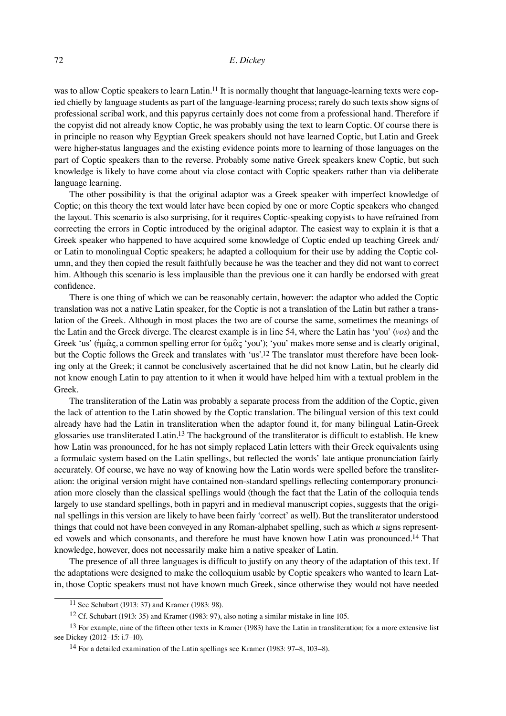was to allow Coptic speakers to learn Latin.<sup>11</sup> It is normally thought that language-learning texts were copied chiefly by language students as part of the language-learning process; rarely do such texts show signs of professional scribal work, and this papyrus certainly does not come from a professional hand. Therefore if the copyist did not already know Coptic, he was probably using the text to learn Coptic. Of course there is in principle no reason why Egyptian Greek speakers should not have learned Coptic, but Latin and Greek were higher-status languages and the existing evidence points more to learning of those languages on the part of Coptic speakers than to the reverse. Probably some native Greek speakers knew Coptic, but such knowledge is likely to have come about via close contact with Coptic speakers rather than via deliberate language learning.

The other possibility is that the original adaptor was a Greek speaker with imperfect knowledge of Coptic; on this theory the text would later have been copied by one or more Coptic speakers who changed the layout. This scenario is also surprising, for it requires Coptic-speaking copyists to have refrained from correcting the errors in Coptic introduced by the original adaptor. The easiest way to explain it is that a Greek speaker who happened to have acquired some knowledge of Coptic ended up teaching Greek and/ or Latin to monolingual Coptic speakers; he adapted a colloquium for their use by adding the Coptic column, and they then copied the result faithfully because he was the teacher and they did not want to correct him. Although this scenario is less implausible than the previous one it can hardly be endorsed with great confidence.

There is one thing of which we can be reasonably certain, however: the adaptor who added the Coptic translation was not a native Latin speaker, for the Coptic is not a translation of the Latin but rather a translation of the Greek. Although in most places the two are of course the same, sometimes the meanings of the Latin and the Greek diverge. The clearest example is in line 54, where the Latin has 'you' (*vos*) and the Greek 'us' (ἡμᾶς, a common spelling error for ὑμᾶς 'you'); 'you' makes more sense and is clearly original, but the Coptic follows the Greek and translates with 'us'.<sup>12</sup> The translator must therefore have been looking only at the Greek; it cannot be conclusively ascertained that he did not know Latin, but he clearly did not know enough Latin to pay attention to it when it would have helped him with a textual problem in the Greek.

The transliteration of the Latin was probably a separate process from the addition of the Coptic, given the lack of attention to the Latin showed by the Coptic translation. The bilingual version of this text could already have had the Latin in transliteration when the adaptor found it, for many bilingual Latin-Greek glossaries use transliterated Latin.<sup>13</sup> The background of the transliterator is difficult to establish. He knew how Latin was pronounced, for he has not simply replaced Latin letters with their Greek equivalents using a formulaic system based on the Latin spellings, but reflected the words' late antique pronunciation fairly accurately. Of course, we have no way of knowing how the Latin words were spelled before the transliteration: the original version might have contained non-standard spellings reflecting contemporary pronunciation more closely than the classical spellings would (though the fact that the Latin of the colloquia tends largely to use standard spellings, both in papyri and in medieval manuscript copies, suggests that the original spellings in this version are likely to have been fairly 'correct' as well). But the transliterator understood things that could not have been conveyed in any Roman-alphabet spelling, such as which *u* signs represented vowels and which consonants, and therefore he must have known how Latin was pronounced.14 That knowledge, however, does not necessarily make him a native speaker of Latin.

The presence of all three languages is difficult to justify on any theory of the adaptation of this text. If the adaptations were designed to make the colloquium usable by Coptic speakers who wanted to learn Latin, those Coptic speakers must not have known much Greek, since otherwise they would not have needed

<sup>11</sup> See Schubart (1913: 37) and Kramer (1983: 98).

<sup>12</sup> Cf. Schubart (1913: 35) and Kramer (1983: 97), also noting a similar mistake in line 105.

 $13$  For example, nine of the fifteen other texts in Kramer (1983) have the Latin in transliteration; for a more extensive list see Dickey (2012–15: i.7–10).

<sup>14</sup> For a detailed examination of the Latin spellings see Kramer (1983: 97–8, 103–8).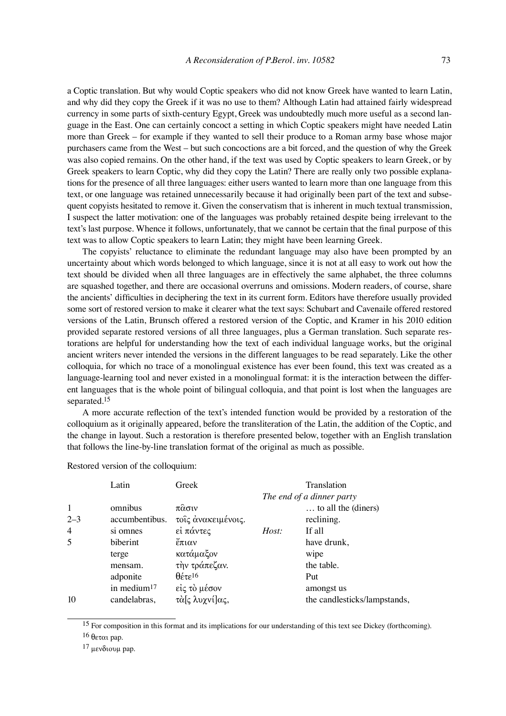a Coptic translation. But why would Coptic speakers who did not know Greek have wanted to learn Latin, and why did they copy the Greek if it was no use to them? Although Latin had attained fairly widespread currency in some parts of sixth-century Egypt, Greek was undoubtedly much more useful as a second language in the East. One can certainly concoct a setting in which Coptic speakers might have needed Latin more than Greek – for example if they wanted to sell their produce to a Roman army base whose major purchasers came from the West – but such concoctions are a bit forced, and the question of why the Greek was also copied remains. On the other hand, if the text was used by Coptic speakers to learn Greek, or by Greek speakers to learn Coptic, why did they copy the Latin? There are really only two possible explanations for the presence of all three languages: either users wanted to learn more than one language from this text, or one language was retained unnecessarily because it had originally been part of the text and subsequent copyists hesitated to remove it. Given the conservatism that is inherent in much textual transmission, I suspect the latter motivation: one of the languages was probably retained despite being irrelevant to the text's last purpose. Whence it follows, unfortunately, that we cannot be certain that the final purpose of this text was to allow Coptic speakers to learn Latin; they might have been learning Greek.

The copyists' reluctance to eliminate the redundant language may also have been prompted by an uncertainty about which words belonged to which language, since it is not at all easy to work out how the text should be divided when all three languages are in effectively the same alphabet, the three columns are squashed together, and there are occasional overruns and omissions. Modern readers, of course, share the ancients' difficulties in deciphering the text in its current form. Editors have therefore usually provided some sort of restored version to make it clearer what the text says: Schubart and Cavenaile offered restored versions of the Latin, Brunsch offered a restored version of the Coptic, and Kramer in his 2010 edition provided separate restored versions of all three languages, plus a German translation. Such separate restorations are helpful for understanding how the text of each individual language works, but the original ancient writers never intended the versions in the different languages to be read separately. Like the other colloquia, for which no trace of a monolingual existence has ever been found, this text was created as a language-learning tool and never existed in a monolingual format: it is the interaction between the different languages that is the whole point of bilingual colloquia, and that point is lost when the languages are separated.15

A more accurate reflection of the text's intended function would be provided by a restoration of the colloquium as it originally appeared, before the transliteration of the Latin, the addition of the Coptic, and the change in layout. Such a restoration is therefore presented below, together with an English translation that follows the line-by-line translation format of the original as much as possible.

|                | Latin          | Greek                      |       | Translation                  |
|----------------|----------------|----------------------------|-------|------------------------------|
|                |                |                            |       | The end of a dinner party    |
| $\mathbf{1}$   | omnibus        | πασιν                      |       | to all the (diners)          |
| $2 - 3$        | accumbentibus. | τοις ανακειμένοις.         |       | reclining.                   |
| $\overline{4}$ | si omnes       | εί πάντες                  | Host: | If all                       |
| 5              | biberint       | έπιαν                      |       | have drunk,                  |
|                | terge          | κατάμαξον                  |       | wipe                         |
|                | mensam.        | την τράπεζαν.              |       | the table.                   |
|                | adponite       | $\theta$ έτε <sup>16</sup> |       | Put                          |
|                | in medium $17$ | είς τὸ μέσον               |       | amongst us                   |
| 10             | candelabras,   | τὰ[ς λυχνί]ας,             |       | the candlesticks/lampstands, |

Restored version of the colloquium:

 $17$  μενδιουμ pap.

<sup>&</sup>lt;sup>15</sup> For composition in this format and its implications for our understanding of this text see Dickey (forthcoming). 16 θεται pap.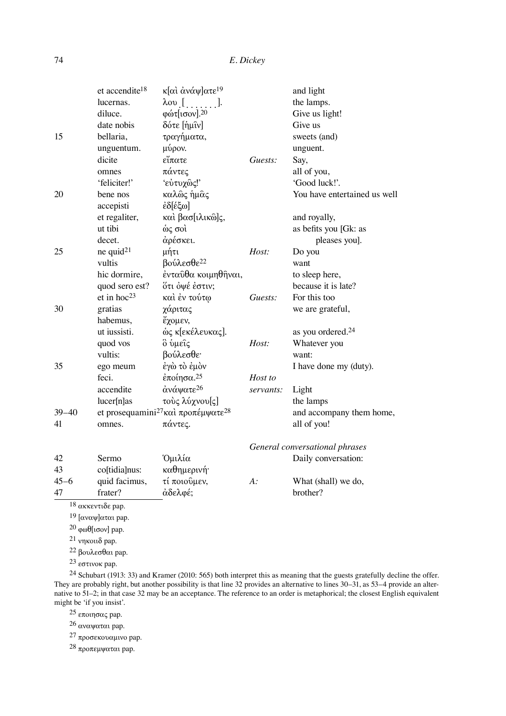|           | et accendite <sup>18</sup>     | κ[αι ανάψ]ατε <sup>19</sup>                                |           | and light                      |
|-----------|--------------------------------|------------------------------------------------------------|-----------|--------------------------------|
|           | lucernas.                      | $\lambda$ ov $[$ ].                                        |           | the lamps.                     |
|           | diluce.                        | φώτ[ισον]. <sup>20</sup>                                   |           | Give us light!                 |
|           | date nobis                     | δότε [ημιν]                                                |           | Give us                        |
| 15        | bellaria,                      | τραγήματα,                                                 |           | sweets (and)                   |
|           | unguentum.                     | μύρον.                                                     |           | unguent.                       |
|           | dicite                         | εἴπατε                                                     | Guests:   | Say,                           |
|           | omnes                          | πάντες                                                     |           | all of you,                    |
|           | 'feliciter!'                   | 'εύτυχώς!'                                                 |           | 'Good luck!'.                  |
| 20        | bene nos                       | καλώς ήμας                                                 |           | You have entertained us well   |
|           | accepisti                      | έδ[έξω]                                                    |           |                                |
|           | et regaliter,                  | καὶ βασ[ιλικῶ]ς,                                           |           | and royally,                   |
|           | ut tibi                        | ώς σοὶ                                                     |           | as befits you [Gk: as          |
|           | decet.                         | άρέσκει.                                                   |           | pleases you].                  |
| 25        | ne quid $21$                   | μήτι                                                       | Host:     | Do you                         |
|           | vultis                         | βούλεσθε <sup>22</sup>                                     |           | want                           |
|           | hic dormire,                   | ένταύθα κοιμηθήναι,                                        |           | to sleep here,                 |
|           | quod sero est?                 | ότι όψέ έστιν;                                             |           | because it is late?            |
|           | et in hoc <sup>23</sup>        | και έν τούτω                                               | Guests:   | For this too                   |
| 30        | gratias                        | χάριτας                                                    |           | we are grateful,               |
|           | habemus,                       | έχομεν,                                                    |           |                                |
|           | ut iussisti.                   | ώς κ[εκέλευκας].                                           |           | as you ordered. <sup>24</sup>  |
|           | quod vos                       | ὃ ὑμεΐς                                                    | Host:     | Whatever you                   |
|           | vultis:                        | βούλεσθε·                                                  |           | want:                          |
| 35        | ego meum                       | έγὼ τὸ ἐμὸν                                                |           | I have done my (duty).         |
|           | feci.                          | έποίησα. <sup>25</sup>                                     | Host to   |                                |
|           | accendite                      | άνάψατε <sup>26</sup>                                      | servants: | Light                          |
|           | lucer[n]as                     | τούς λύχνου[ς]                                             |           | the lamps                      |
| $39 - 40$ |                                | et prosequamini <sup>27</sup> και προπέμψατε <sup>28</sup> |           | and accompany them home,       |
| 41        | omnes.                         | πάντες.                                                    |           | all of you!                    |
|           |                                |                                                            |           | General conversational phrases |
| 42        | Sermo                          | Όμιλία                                                     |           | Daily conversation:            |
| 43        | co[tidia]nus:                  | καθημερινή·                                                |           |                                |
| $45 - 6$  | quid facimus,                  | τί ποιούμεν,                                               | $A$ :     | What (shall) we do,            |
| 47        | frater?                        | άδελφέ;                                                    |           | brother?                       |
|           | $18$ ακκεντιδε pap.            |                                                            |           |                                |
|           | <sup>19</sup> [αναψ] αται pap. |                                                            |           |                                |

20 φωθ[ισον] pap.

21 νηκοιιδ pap.

22 βουλεσθαι pap.

23 εστινοκ pap.

 $^{24}$  Schubart (1913: 33) and Kramer (2010: 565) both interpret this as meaning that the guests gratefully decline the offer. They are probably right, but another possibility is that line 32 provides an alternative to lines 30–31, as 53–4 provide an alternative to 51–2; in that case 32 may be an acceptance. The reference to an order is metaphorical; the closest English equivalent might be 'if you insist'.

25 εποιησας pap.

26 αναψαται pap.

27 προσεκουαμινο pap.

28 προπεμψαται pap.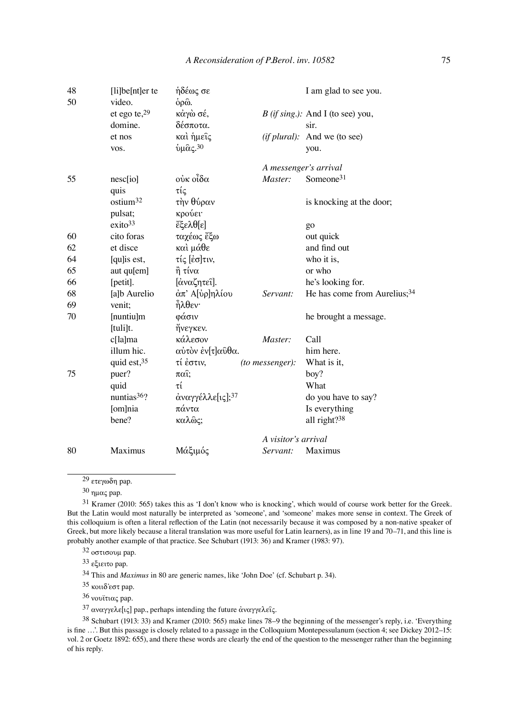| 48<br>50 | $[i]$ be $[nt]$ er te<br>video. | ήδέως σε<br>$\dot{\rho}$ ρω $\dot{\omega}$ . |                        | I am glad to see you.                    |
|----------|---------------------------------|----------------------------------------------|------------------------|------------------------------------------|
|          | et ego te, $29$                 | κάγὼ σέ,                                     |                        | $B$ (if sing.): And I (to see) you,      |
|          | domine.                         | δέσποτα.                                     |                        | sir.                                     |
|          | et nos                          | και ήμεις                                    |                        | (if plural): And we (to see)             |
|          | VOS.                            | $\hat{\mathbf{v}}$ μας. 30                   |                        | you.                                     |
|          |                                 |                                              |                        | A messenger's arrival                    |
| 55       | nesc[io]                        | ούκ οἶδα                                     | Master:                | Someone <sup>31</sup>                    |
|          | quis                            | τίς                                          |                        |                                          |
|          | ostium <sup>32</sup>            | τὴν θύραν                                    |                        | is knocking at the door;                 |
|          | pulsat;                         | κρούει·                                      |                        |                                          |
|          | exito <sup>33</sup>             | $\ddot{\epsilon}$ ξελθ[ε]                    |                        | go                                       |
| 60       | cito foras                      | ταχέως ἔξω                                   |                        | out quick                                |
| 62       | et disce                        | και μάθε                                     |                        | and find out                             |
| 64       | [qu]is est,                     | τίς [έσ]τιν,                                 |                        | who it is,                               |
| 65       | aut qu[em]                      | η τίνα                                       |                        | or who                                   |
| 66       | [petit].                        | [άναζητεί].                                  |                        | he's looking for.                        |
| 68       | [a]b Aurelio                    | άπ' Α[ύρ]ηλίου                               | Servant:               | He has come from Aurelius; <sup>34</sup> |
| 69       | venit;                          | <b>ηλθεν</b>                                 |                        |                                          |
| 70       | [nuntiu]m                       | φάσιν                                        |                        | he brought a message.                    |
|          | [tuli]t.                        | ήνεγκεν.                                     |                        |                                          |
|          | c[la]ma                         | κάλεσον                                      | Master:                | Call                                     |
|          | illum hic.                      | αύτον έν[τ]αύθα.                             |                        | him here.                                |
|          | quid est, 35                    | τί έστιν,                                    | <i>(to messenger):</i> | What is it,                              |
| 75       | puer?                           | $\pi$ ai;                                    |                        | boy?                                     |
|          | quid                            | τί                                           |                        | What                                     |
|          | nuntias <sup>36</sup> ?         | άναγγέλλε[ις]; <sup>37</sup>                 |                        | do you have to say?                      |
|          | [om]nia                         | πάντα                                        |                        | Is everything                            |
|          | bene?                           | καλῶς;                                       |                        | all right?38                             |
|          |                                 |                                              | A visitor's arrival    |                                          |
| 80       | <b>Maximus</b>                  | Μάξιμός                                      | Servant:               | Maximus                                  |

29 ετεγωδη pap.

30 ημας pap.

31 Kramer (2010: 565) takes this as 'I don't know who is knocking', which would of course work better for the Greek. But the Latin would most naturally be interpreted as 'someone', and 'someone' makes more sense in context. The Greek of this colloquium is often a literal reflection of the Latin (not necessarily because it was composed by a non-native speaker of Greek, but more likely because a literal translation was more useful for Latin learners), as in line 19 and 70–71, and this line is probably another example of that practice. See Schubart (1913: 36) and Kramer (1983: 97).

32 οστισουμ pap.

33 εξιειτο pap.

34 This and *Maximus* in 80 are generic names, like 'John Doe' (cf. Schubart p. 34).

35 κοιιδ᾿εστ pap.

36 νουϊτιας pap.

<sup>37</sup> αναγγελε[ις] pap., perhaps intending the future αναγγελεῖς.

38 Schubart (1913: 33) and Kramer (2010: 565) make lines 78–9 the beginning of the messenger's reply, i.e. 'Everything is fine  $\ldots$ . But this passage is closely related to a passage in the Colloquium Montepessulanum (section 4; see Dickey 2012–15: vol. 2 or Goetz 1892: 655), and there these words are clearly the end of the question to the messenger rather than the beginning of his reply.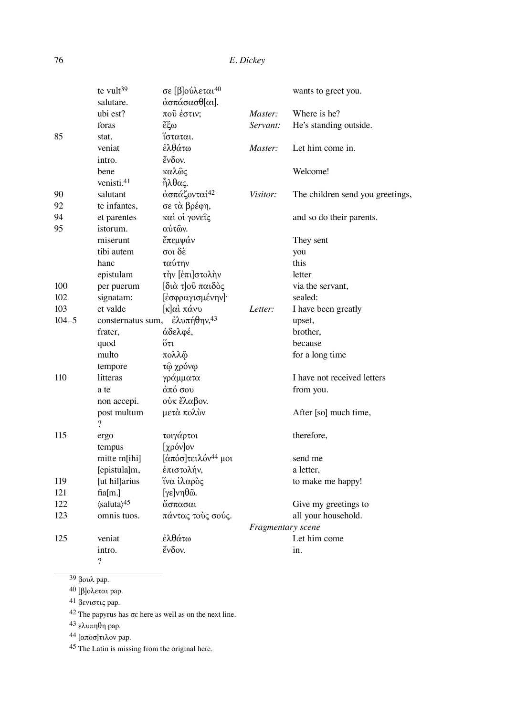|           | te vult $39$                             | σε [β]ούλεται <sup>40</sup>                    |                   | wants to greet you.              |
|-----------|------------------------------------------|------------------------------------------------|-------------------|----------------------------------|
|           | salutare.                                | άσπάσασθ[αι].                                  |                   |                                  |
|           | ubi est?                                 | πού έστιν;                                     | Master:           | Where is he?                     |
|           | foras                                    | čξω                                            | Servant:          | He's standing outside.           |
| 85        | stat.                                    | ίσταται.                                       |                   |                                  |
|           | veniat                                   | έλθάτω                                         | Master:           | Let him come in.                 |
|           | intro.                                   | ένδον.                                         |                   |                                  |
|           | bene                                     | καλῶς                                          |                   | Welcome!                         |
|           | venisti. <sup>41</sup>                   | $\hat{\eta} \lambda \theta \alpha \varsigma$ . |                   |                                  |
| 90        | salutant                                 | άσπάζονταί <sup>42</sup>                       | Visitor:          | The children send you greetings, |
| 92        | te infantes,                             | σε τὰ βρέφη,                                   |                   |                                  |
| 94        | et parentes                              | και οί γονείς                                  |                   | and so do their parents.         |
| 95        | istorum.                                 | αύτων.                                         |                   |                                  |
|           | miserunt                                 | έπεμψάν                                        |                   | They sent                        |
|           | tibi autem                               | σοι δέ                                         |                   | you                              |
|           | hanc                                     | ταύτην                                         |                   | this                             |
|           | epistulam                                | την [έπι]στολην                                |                   | letter                           |
| 100       | per puerum                               | διά του παιδός                                 |                   | via the servant,                 |
| 102       | signatam:                                | [εσφραγισμένην]·                               |                   | sealed:                          |
| 103       | et valde                                 | [κ]αὶ πάνυ                                     | Letter:           | I have been greatly              |
| $104 - 5$ | consternatus sum,                        | $\dot{\epsilon} \lambda$ υπήθην, <sup>43</sup> |                   | upset,                           |
|           | frater,                                  | άδελφέ,                                        |                   | brother,                         |
|           | quod                                     | ὄτι                                            |                   | because                          |
|           | multo                                    | πολλφ                                          |                   | for a long time                  |
|           | tempore                                  | τῷ χρόνῳ                                       |                   |                                  |
| 110       | litteras                                 | γράμματα                                       |                   | I have not received letters      |
|           | a te                                     | άπό σου                                        |                   | from you.                        |
|           | non accepi.                              | ούκ ἔλαβον.                                    |                   |                                  |
|           | post multum                              | μετά πολύν                                     |                   | After [so] much time,            |
|           | $\overline{?}$                           |                                                |                   |                                  |
| 115       | ergo                                     | τοιγάρτοι                                      |                   | therefore,                       |
|           | tempus                                   | [χρόν]ον                                       |                   |                                  |
|           | mitte m[ihi]                             | [άπόσ]τειλόν <sup>44</sup> μοι                 |                   | send me                          |
|           | [epistula]m,                             | έπιστολήν,                                     |                   | a letter,                        |
| 119       | [ut hil]arius                            | ἵνα ἱλαρὸς                                     |                   | to make me happy!                |
| 121       | fia[m.]                                  | $[γε]νηθω$ .                                   |                   |                                  |
| 122       | $\langle$ saluta $\rangle$ <sup>45</sup> | άσπασαι                                        |                   | Give my greetings to             |
| 123       | omnis tuos.                              | πάντας τοὺς σούς.                              |                   | all your household.              |
|           |                                          |                                                | Fragmentary scene |                                  |
| 125       | veniat                                   | έλθάτω                                         |                   | Let him come                     |
|           | intro.                                   | ένδον.                                         |                   | in.                              |
|           | $\overline{\mathcal{L}}$                 |                                                |                   |                                  |

39 βουλ pap.

 $40$  [β]ολεται pap.

41 βενιστις pap.

<sup>42</sup> The papyrus has σε here as well as on the next line.

 $43$  ελυπηθη pap.

44 [αποσ]τιλον pap.

45 The Latin is missing from the original here.